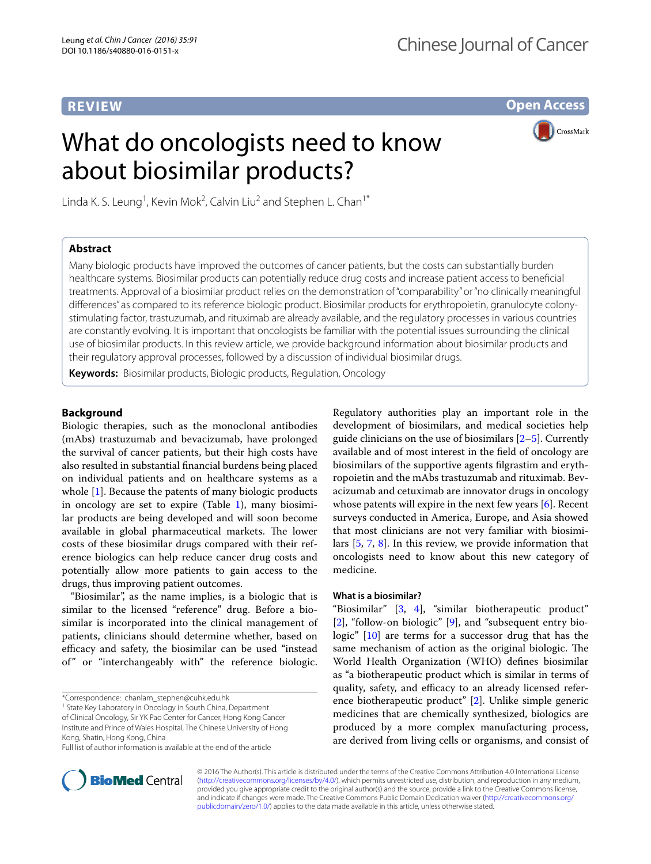# **REVIEW**

**Open Access**

# What do oncologists need to know about biosimilar products?



Linda K. S. Leung<sup>1</sup>, Kevin Mok<sup>2</sup>, Calvin Liu<sup>2</sup> and Stephen L. Chan<sup>1\*</sup>

## **Abstract**

Many biologic products have improved the outcomes of cancer patients, but the costs can substantially burden healthcare systems. Biosimilar products can potentially reduce drug costs and increase patient access to beneficial treatments. Approval of a biosimilar product relies on the demonstration of "comparability" or "no clinically meaningful differences" as compared to its reference biologic product. Biosimilar products for erythropoietin, granulocyte colonystimulating factor, trastuzumab, and rituximab are already available, and the regulatory processes in various countries are constantly evolving. It is important that oncologists be familiar with the potential issues surrounding the clinical use of biosimilar products. In this review article, we provide background information about biosimilar products and their regulatory approval processes, followed by a discussion of individual biosimilar drugs.

**Keywords:** Biosimilar products, Biologic products, Regulation, Oncology

## **Background**

Biologic therapies, such as the monoclonal antibodies (mAbs) trastuzumab and bevacizumab, have prolonged the survival of cancer patients, but their high costs have also resulted in substantial financial burdens being placed on individual patients and on healthcare systems as a whole [[1\]](#page-8-0). Because the patents of many biologic products in oncology are set to expire (Table [1](#page-1-0)), many biosimilar products are being developed and will soon become available in global pharmaceutical markets. The lower costs of these biosimilar drugs compared with their reference biologics can help reduce cancer drug costs and potentially allow more patients to gain access to the drugs, thus improving patient outcomes.

"Biosimilar", as the name implies, is a biologic that is similar to the licensed "reference" drug. Before a biosimilar is incorporated into the clinical management of patients, clinicians should determine whether, based on efficacy and safety, the biosimilar can be used "instead of" or "interchangeably with" the reference biologic.



## **What is a biosimilar?**

"Biosimilar" [[3,](#page-8-6) [4\]](#page-8-7), "similar biotherapeutic product" [[2\]](#page-8-1), "follow-on biologic" [\[9](#page-8-8)], and "subsequent entry biologic" [\[10](#page-8-9)] are terms for a successor drug that has the same mechanism of action as the original biologic. The World Health Organization (WHO) defines biosimilar as "a biotherapeutic product which is similar in terms of quality, safety, and efficacy to an already licensed reference biotherapeutic product" [[2](#page-8-1)]. Unlike simple generic medicines that are chemically synthesized, biologics are produced by a more complex manufacturing process, are derived from living cells or organisms, and consist of



© 2016 The Author(s). This article is distributed under the terms of the Creative Commons Attribution 4.0 International License [\(http://creativecommons.org/licenses/by/4.0/\)](http://creativecommons.org/licenses/by/4.0/), which permits unrestricted use, distribution, and reproduction in any medium, provided you give appropriate credit to the original author(s) and the source, provide a link to the Creative Commons license, and indicate if changes were made. The Creative Commons Public Domain Dedication waiver ([http://creativecommons.org/](http://creativecommons.org/publicdomain/zero/1.0/) [publicdomain/zero/1.0/](http://creativecommons.org/publicdomain/zero/1.0/)) applies to the data made available in this article, unless otherwise stated.

<sup>\*</sup>Correspondence: chanlam\_stephen@cuhk.edu.hk

<sup>&</sup>lt;sup>1</sup> State Key Laboratory in Oncology in South China, Department of Clinical Oncology, Sir YK Pao Center for Cancer, Hong Kong Cancer Institute and Prince of Wales Hospital, The Chinese University of Hong

Kong, Shatin, Hong Kong, China

Full list of author information is available at the end of the article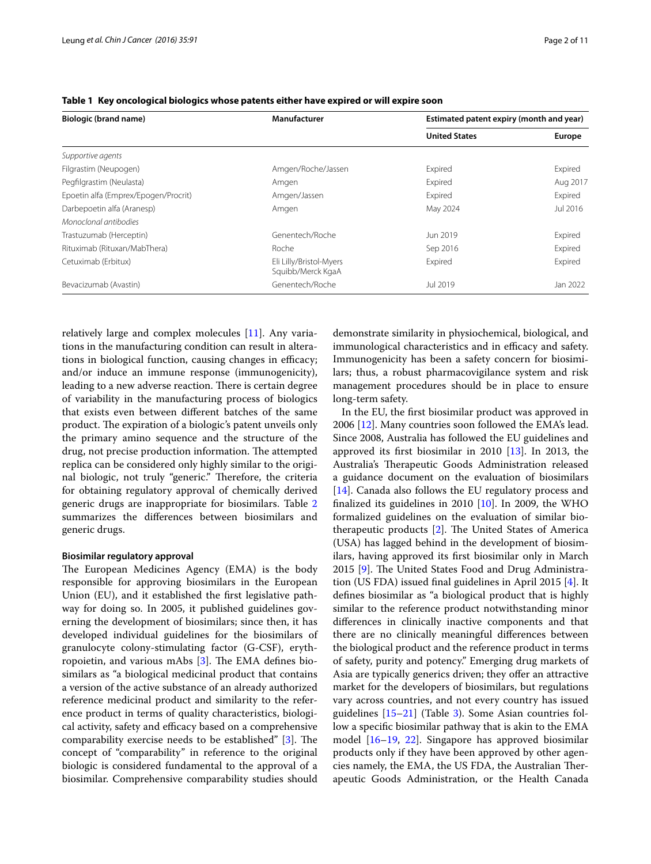| Biologic (brand name)                | Manufacturer                                 | Estimated patent expiry (month and year) |               |
|--------------------------------------|----------------------------------------------|------------------------------------------|---------------|
|                                      |                                              | <b>United States</b>                     | <b>Europe</b> |
| Supportive agents                    |                                              |                                          |               |
| Filgrastim (Neupogen)                | Amgen/Roche/Jassen                           | Expired                                  | Expired       |
| Pegfilgrastim (Neulasta)             | Amgen                                        | Expired                                  | Aug 2017      |
| Epoetin alfa (Emprex/Epogen/Procrit) | Amgen/Jassen                                 | Expired                                  | Expired       |
| Darbepoetin alfa (Aranesp)           | Amgen                                        | May 2024                                 | Jul 2016      |
| Monoclonal antibodies                |                                              |                                          |               |
| Trastuzumab (Herceptin)              | Genentech/Roche                              | Jun 2019                                 | Expired       |
| Rituximab (Rituxan/MabThera)         | Roche                                        | Sep 2016                                 | Expired       |
| Cetuximab (Erbitux)                  | Eli Lilly/Bristol-Myers<br>Squibb/Merck KgaA | Expired                                  | Expired       |
| Bevacizumab (Avastin)                | Genentech/Roche                              | Jul 2019                                 | Jan 2022      |

<span id="page-1-0"></span>

|  |  |  |  |  |  | Table 1 Key oncological biologics whose patents either have expired or will expire soon |
|--|--|--|--|--|--|-----------------------------------------------------------------------------------------|
|--|--|--|--|--|--|-----------------------------------------------------------------------------------------|

relatively large and complex molecules [\[11\]](#page-8-10). Any variations in the manufacturing condition can result in alterations in biological function, causing changes in efficacy; and/or induce an immune response (immunogenicity), leading to a new adverse reaction. There is certain degree of variability in the manufacturing process of biologics that exists even between different batches of the same product. The expiration of a biologic's patent unveils only the primary amino sequence and the structure of the drug, not precise production information. The attempted replica can be considered only highly similar to the original biologic, not truly "generic." Therefore, the criteria for obtaining regulatory approval of chemically derived generic drugs are inappropriate for biosimilars. Table [2](#page-2-0) summarizes the differences between biosimilars and generic drugs.

#### **Biosimilar regulatory approval**

The European Medicines Agency (EMA) is the body responsible for approving biosimilars in the European Union (EU), and it established the first legislative pathway for doing so. In 2005, it published guidelines governing the development of biosimilars; since then, it has developed individual guidelines for the biosimilars of granulocyte colony-stimulating factor (G-CSF), erythropoietin, and various mAbs [\[3](#page-8-6)]. The EMA defines biosimilars as "a biological medicinal product that contains a version of the active substance of an already authorized reference medicinal product and similarity to the reference product in terms of quality characteristics, biological activity, safety and efficacy based on a comprehensive comparability exercise needs to be established" [\[3](#page-8-6)]. The concept of "comparability" in reference to the original biologic is considered fundamental to the approval of a biosimilar. Comprehensive comparability studies should

demonstrate similarity in physiochemical, biological, and immunological characteristics and in efficacy and safety. Immunogenicity has been a safety concern for biosimilars; thus, a robust pharmacovigilance system and risk management procedures should be in place to ensure long-term safety.

In the EU, the first biosimilar product was approved in 2006 [\[12](#page-8-11)]. Many countries soon followed the EMA's lead. Since 2008, Australia has followed the EU guidelines and approved its first biosimilar in 2010 [[13\]](#page-8-12). In 2013, the Australia's Therapeutic Goods Administration released a guidance document on the evaluation of biosimilars [[14\]](#page-8-13). Canada also follows the EU regulatory process and finalized its guidelines in 2010  $[10]$  $[10]$ . In 2009, the WHO formalized guidelines on the evaluation of similar biotherapeutic products [[2\]](#page-8-1). The United States of America (USA) has lagged behind in the development of biosimilars, having approved its first biosimilar only in March 2015 [[9\]](#page-8-8). The United States Food and Drug Administration (US FDA) issued final guidelines in April 2015 [\[4](#page-8-7)]. It defines biosimilar as "a biological product that is highly similar to the reference product notwithstanding minor differences in clinically inactive components and that there are no clinically meaningful differences between the biological product and the reference product in terms of safety, purity and potency." Emerging drug markets of Asia are typically generics driven; they offer an attractive market for the developers of biosimilars, but regulations vary across countries, and not every country has issued guidelines  $[15-21]$  $[15-21]$  (Table [3\)](#page-3-0). Some Asian countries follow a specific biosimilar pathway that is akin to the EMA model [\[16](#page-8-16)[–19,](#page-8-17) [22\]](#page-8-18). Singapore has approved biosimilar products only if they have been approved by other agencies namely, the EMA, the US FDA, the Australian Therapeutic Goods Administration, or the Health Canada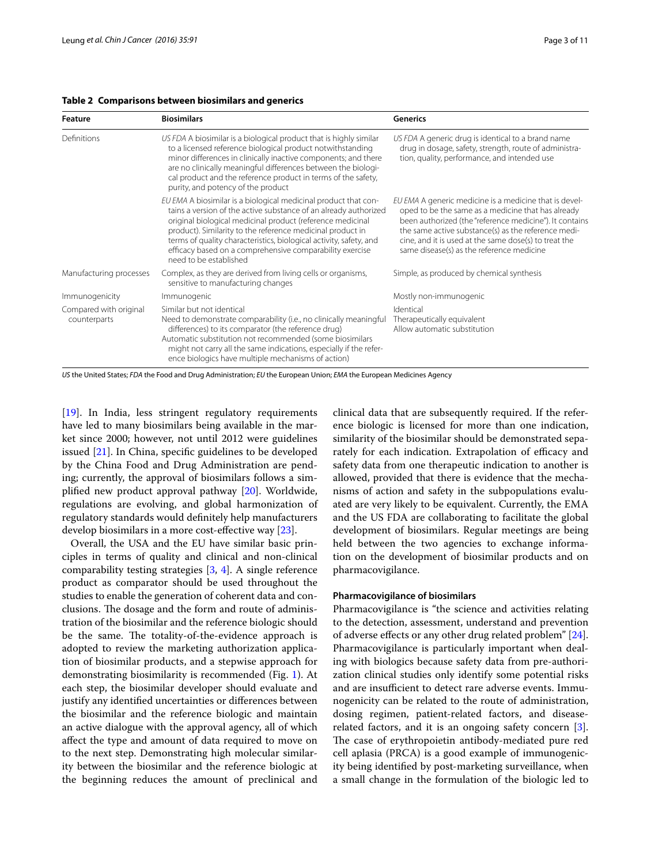## <span id="page-2-0"></span>**Table 2 Comparisons between biosimilars and generics**

| Feature                                | <b>Biosimilars</b>                                                                                                                                                                                                                                                                                                                                                                                                          | Generics                                                                                                                                                                                                                                                                                                                             |
|----------------------------------------|-----------------------------------------------------------------------------------------------------------------------------------------------------------------------------------------------------------------------------------------------------------------------------------------------------------------------------------------------------------------------------------------------------------------------------|--------------------------------------------------------------------------------------------------------------------------------------------------------------------------------------------------------------------------------------------------------------------------------------------------------------------------------------|
| Definitions                            | US FDA A biosimilar is a biological product that is highly similar<br>to a licensed reference biological product notwithstanding<br>minor differences in clinically inactive components; and there<br>are no clinically meaningful differences between the biologi-<br>cal product and the reference product in terms of the safety,<br>purity, and potency of the product                                                  | US FDA A generic drug is identical to a brand name<br>drug in dosage, safety, strength, route of administra-<br>tion, quality, performance, and intended use                                                                                                                                                                         |
|                                        | EU EMA A biosimilar is a biological medicinal product that con-<br>tains a version of the active substance of an already authorized<br>original biological medicinal product (reference medicinal<br>product). Similarity to the reference medicinal product in<br>terms of quality characteristics, biological activity, safety, and<br>efficacy based on a comprehensive comparability exercise<br>need to be established | EU EMA A generic medicine is a medicine that is devel-<br>oped to be the same as a medicine that has already<br>been authorized (the "reference medicine"). It contains<br>the same active substance(s) as the reference medi-<br>cine, and it is used at the same dose(s) to treat the<br>same disease(s) as the reference medicine |
| Manufacturing processes                | Complex, as they are derived from living cells or organisms,<br>sensitive to manufacturing changes                                                                                                                                                                                                                                                                                                                          | Simple, as produced by chemical synthesis                                                                                                                                                                                                                                                                                            |
| Immunogenicity                         | Immunogenic                                                                                                                                                                                                                                                                                                                                                                                                                 | Mostly non-immunogenic                                                                                                                                                                                                                                                                                                               |
| Compared with original<br>counterparts | Similar but not identical<br>Need to demonstrate comparability (i.e., no clinically meaningful<br>differences) to its comparator (the reference drug)<br>Automatic substitution not recommended (some biosimilars<br>might not carry all the same indications, especially if the refer-<br>ence biologics have multiple mechanisms of action)                                                                               | Identical<br>Therapeutically equivalent<br>Allow automatic substitution                                                                                                                                                                                                                                                              |

*US* the United States; *FDA* the Food and Drug Administration; *EU* the European Union; *EMA* the European Medicines Agency

[[19\]](#page-8-17). In India, less stringent regulatory requirements have led to many biosimilars being available in the market since 2000; however, not until 2012 were guidelines issued [\[21\]](#page-8-15). In China, specific guidelines to be developed by the China Food and Drug Administration are pending; currently, the approval of biosimilars follows a simplified new product approval pathway [[20\]](#page-8-19). Worldwide, regulations are evolving, and global harmonization of regulatory standards would definitely help manufacturers develop biosimilars in a more cost-effective way [[23](#page-8-20)].

Overall, the USA and the EU have similar basic principles in terms of quality and clinical and non-clinical comparability testing strategies [[3,](#page-8-6) [4](#page-8-7)]. A single reference product as comparator should be used throughout the studies to enable the generation of coherent data and conclusions. The dosage and the form and route of administration of the biosimilar and the reference biologic should be the same. The totality-of-the-evidence approach is adopted to review the marketing authorization application of biosimilar products, and a stepwise approach for demonstrating biosimilarity is recommended (Fig. [1](#page-4-0)). At each step, the biosimilar developer should evaluate and justify any identified uncertainties or differences between the biosimilar and the reference biologic and maintain an active dialogue with the approval agency, all of which affect the type and amount of data required to move on to the next step. Demonstrating high molecular similarity between the biosimilar and the reference biologic at the beginning reduces the amount of preclinical and clinical data that are subsequently required. If the reference biologic is licensed for more than one indication, similarity of the biosimilar should be demonstrated separately for each indication. Extrapolation of efficacy and safety data from one therapeutic indication to another is allowed, provided that there is evidence that the mechanisms of action and safety in the subpopulations evaluated are very likely to be equivalent. Currently, the EMA and the US FDA are collaborating to facilitate the global development of biosimilars. Regular meetings are being held between the two agencies to exchange information on the development of biosimilar products and on pharmacovigilance.

#### **Pharmacovigilance of biosimilars**

Pharmacovigilance is "the science and activities relating to the detection, assessment, understand and prevention of adverse effects or any other drug related problem" [\[24](#page-8-21)]. Pharmacovigilance is particularly important when dealing with biologics because safety data from pre-authorization clinical studies only identify some potential risks and are insufficient to detect rare adverse events. Immunogenicity can be related to the route of administration, dosing regimen, patient-related factors, and diseaserelated factors, and it is an ongoing safety concern [\[3](#page-8-6)]. The case of erythropoietin antibody-mediated pure red cell aplasia (PRCA) is a good example of immunogenicity being identified by post-marketing surveillance, when a small change in the formulation of the biologic led to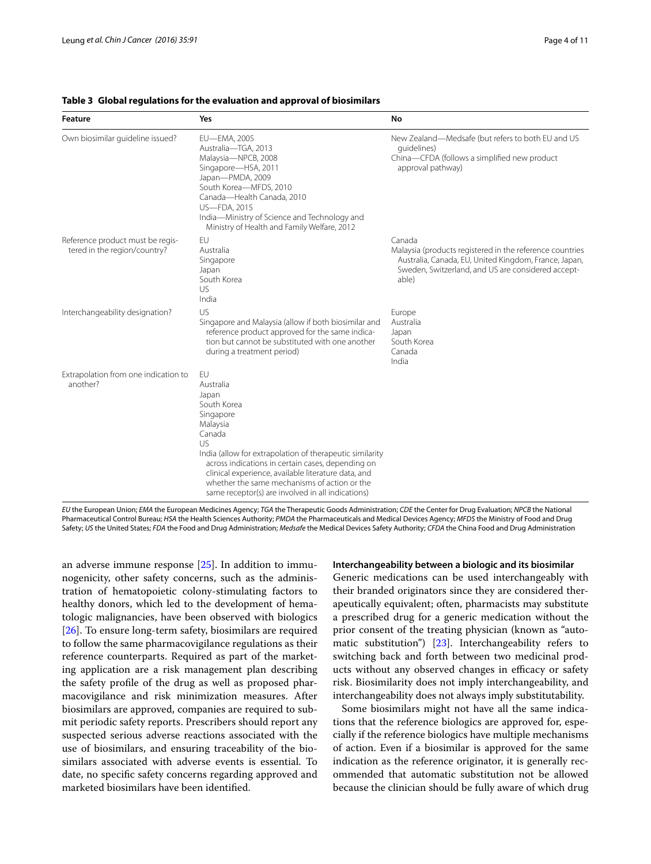| Feature                                                          | Yes                                                                                                                                                                                                                                                                                                                                                           | No                                                                                                                                                                                         |
|------------------------------------------------------------------|---------------------------------------------------------------------------------------------------------------------------------------------------------------------------------------------------------------------------------------------------------------------------------------------------------------------------------------------------------------|--------------------------------------------------------------------------------------------------------------------------------------------------------------------------------------------|
| Own biosimilar quideline issued?                                 | EU-EMA, 2005<br>Australia-TGA, 2013<br>Malaysia-NPCB, 2008<br>Singapore-HSA, 2011<br>Japan-PMDA, 2009<br>South Korea-MFDS, 2010<br>Canada-Health Canada, 2010<br>US-FDA, 2015<br>India-Ministry of Science and Technology and<br>Ministry of Health and Family Welfare, 2012                                                                                  | New Zealand-Medsafe (but refers to both EU and US<br>quidelines)<br>China-CFDA (follows a simplified new product<br>approval pathway)                                                      |
| Reference product must be regis-<br>tered in the region/country? | EU<br>Australia<br>Singapore<br>Japan<br>South Korea<br>US<br>India                                                                                                                                                                                                                                                                                           | Canada<br>Malaysia (products registered in the reference countries<br>Australia, Canada, EU, United Kingdom, France, Japan,<br>Sweden, Switzerland, and US are considered accept-<br>able) |
| Interchangeability designation?                                  | US<br>Singapore and Malaysia (allow if both biosimilar and<br>reference product approved for the same indica-<br>tion but cannot be substituted with one another<br>during a treatment period)                                                                                                                                                                | Europe<br>Australia<br>Japan<br>South Korea<br>Canada<br>India                                                                                                                             |
| Extrapolation from one indication to<br>another?                 | EU<br>Australia<br>Japan<br>South Korea<br>Singapore<br>Malaysia<br>Canada<br>US<br>India (allow for extrapolation of therapeutic similarity<br>across indications in certain cases, depending on<br>clinical experience, available literature data, and<br>whether the same mechanisms of action or the<br>same receptor(s) are involved in all indications) |                                                                                                                                                                                            |

## <span id="page-3-0"></span>**Table 3 Global regulations for the evaluation and approval of biosimilars**

*EU* the European Union; *EMA* the European Medicines Agency; *TGA* the Therapeutic Goods Administration; *CDE* the Center for Drug Evaluation; *NPCB* the National Pharmaceutical Control Bureau; *HSA* the Health Sciences Authority; *PMDA* the Pharmaceuticals and Medical Devices Agency; *MFDS* the Ministry of Food and Drug Safety; *US* the United States; *FDA* the Food and Drug Administration; *Medsafe* the Medical Devices Safety Authority; *CFDA* the China Food and Drug Administration

an adverse immune response [[25](#page-8-22)]. In addition to immunogenicity, other safety concerns, such as the administration of hematopoietic colony-stimulating factors to healthy donors, which led to the development of hematologic malignancies, have been observed with biologics [[26\]](#page-8-23). To ensure long-term safety, biosimilars are required to follow the same pharmacovigilance regulations as their reference counterparts. Required as part of the marketing application are a risk management plan describing the safety profile of the drug as well as proposed pharmacovigilance and risk minimization measures. After biosimilars are approved, companies are required to submit periodic safety reports. Prescribers should report any suspected serious adverse reactions associated with the use of biosimilars, and ensuring traceability of the biosimilars associated with adverse events is essential. To date, no specific safety concerns regarding approved and marketed biosimilars have been identified.

**Interchangeability between a biologic and its biosimilar** Generic medications can be used interchangeably with their branded originators since they are considered therapeutically equivalent; often, pharmacists may substitute a prescribed drug for a generic medication without the prior consent of the treating physician (known as "automatic substitution") [[23\]](#page-8-20). Interchangeability refers to switching back and forth between two medicinal products without any observed changes in efficacy or safety risk. Biosimilarity does not imply interchangeability, and interchangeability does not always imply substitutability.

Some biosimilars might not have all the same indications that the reference biologics are approved for, especially if the reference biologics have multiple mechanisms of action. Even if a biosimilar is approved for the same indication as the reference originator, it is generally recommended that automatic substitution not be allowed because the clinician should be fully aware of which drug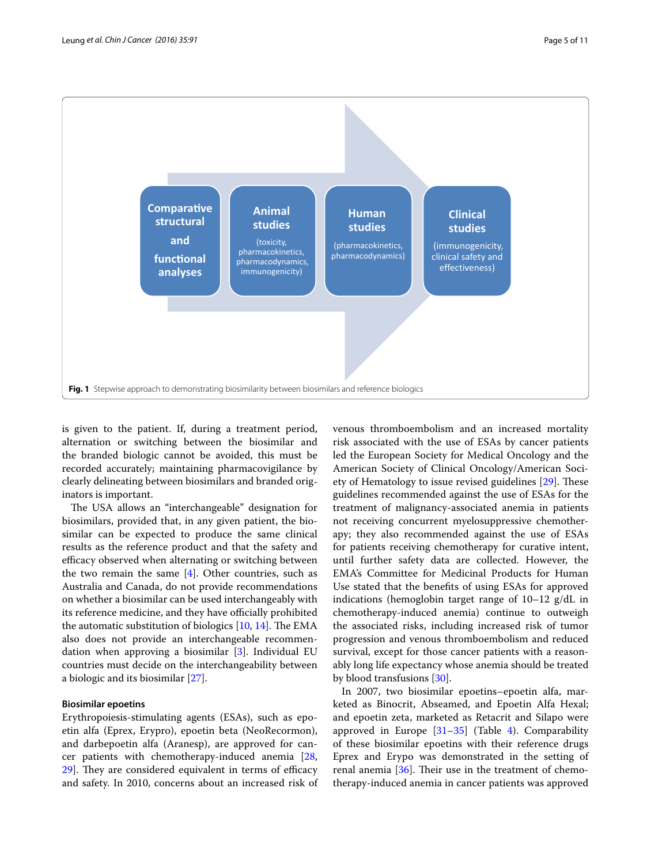

<span id="page-4-0"></span>is given to the patient. If, during a treatment period, alternation or switching between the biosimilar and the branded biologic cannot be avoided, this must be recorded accurately; maintaining pharmacovigilance by clearly delineating between biosimilars and branded originators is important.

The USA allows an "interchangeable" designation for biosimilars, provided that, in any given patient, the biosimilar can be expected to produce the same clinical results as the reference product and that the safety and efficacy observed when alternating or switching between the two remain the same  $[4]$  $[4]$ . Other countries, such as Australia and Canada, do not provide recommendations on whether a biosimilar can be used interchangeably with its reference medicine, and they have officially prohibited the automatic substitution of biologics [[10,](#page-8-9) [14](#page-8-13)]. The EMA also does not provide an interchangeable recommendation when approving a biosimilar [\[3\]](#page-8-6). Individual EU countries must decide on the interchangeability between a biologic and its biosimilar [[27](#page-9-0)].

## **Biosimilar epoetins**

Erythropoiesis-stimulating agents (ESAs), such as epoetin alfa (Eprex, Erypro), epoetin beta (NeoRecormon), and darbepoetin alfa (Aranesp), are approved for cancer patients with chemotherapy-induced anemia [\[28](#page-9-1), [29\]](#page-9-2). They are considered equivalent in terms of efficacy and safety. In 2010, concerns about an increased risk of venous thromboembolism and an increased mortality risk associated with the use of ESAs by cancer patients led the European Society for Medical Oncology and the American Society of Clinical Oncology/American Society of Hematology to issue revised guidelines [[29\]](#page-9-2). These guidelines recommended against the use of ESAs for the treatment of malignancy-associated anemia in patients not receiving concurrent myelosuppressive chemotherapy; they also recommended against the use of ESAs for patients receiving chemotherapy for curative intent, until further safety data are collected. However, the EMA's Committee for Medicinal Products for Human Use stated that the benefits of using ESAs for approved indications (hemoglobin target range of 10–12 g/dL in chemotherapy-induced anemia) continue to outweigh the associated risks, including increased risk of tumor progression and venous thromboembolism and reduced survival, except for those cancer patients with a reasonably long life expectancy whose anemia should be treated by blood transfusions [\[30\]](#page-9-3).

In 2007, two biosimilar epoetins–epoetin alfa, marketed as Binocrit, Abseamed, and Epoetin Alfa Hexal; and epoetin zeta, marketed as Retacrit and Silapo were approved in Europe  $[31-35]$  $[31-35]$  (Table [4](#page-5-0)). Comparability of these biosimilar epoetins with their reference drugs Eprex and Erypo was demonstrated in the setting of renal anemia [[36](#page-9-6)]. Their use in the treatment of chemotherapy-induced anemia in cancer patients was approved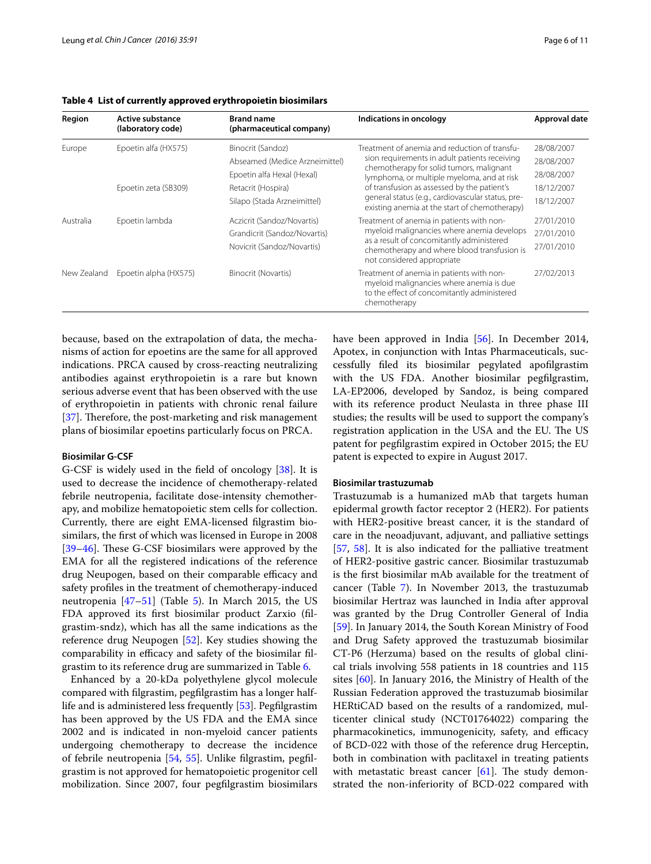| Region      | <b>Active substance</b><br>(laboratory code) | <b>Brand name</b><br>(pharmaceutical company) | Indications in oncology                                                                                                                                                                                           | Approval date |
|-------------|----------------------------------------------|-----------------------------------------------|-------------------------------------------------------------------------------------------------------------------------------------------------------------------------------------------------------------------|---------------|
| Europe      | Epoetin alfa (HX575)                         | Binocrit (Sandoz)                             | Treatment of anemia and reduction of transfu-                                                                                                                                                                     | 28/08/2007    |
|             |                                              | Abseamed (Medice Arzneimittel)                | sion requirements in adult patients receiving<br>chemotherapy for solid tumors, malignant                                                                                                                         | 28/08/2007    |
|             |                                              | Epoetin alfa Hexal (Hexal)                    | lymphoma, or multiple myeloma, and at risk                                                                                                                                                                        | 28/08/2007    |
|             | Epoetin zeta (SB309)                         | Retacrit (Hospira)                            | of transfusion as assessed by the patient's                                                                                                                                                                       | 18/12/2007    |
|             |                                              | Silapo (Stada Arzneimittel)                   | general status (e.g., cardiovascular status, pre-<br>existing anemia at the start of chemotherapy)                                                                                                                | 18/12/2007    |
| Australia   | Epoetin lambda                               | Aczicrit (Sandoz/Novartis)                    | Treatment of anemia in patients with non-<br>myeloid malignancies where anemia develops<br>as a result of concomitantly administered<br>chemotherapy and where blood transfusion is<br>not considered appropriate | 27/01/2010    |
|             |                                              | Grandicrit (Sandoz/Novartis)                  |                                                                                                                                                                                                                   | 27/01/2010    |
|             |                                              | Novicrit (Sandoz/Novartis)                    |                                                                                                                                                                                                                   | 27/01/2010    |
| New Zealand | Epoetin alpha (HX575)                        | Binocrit (Novartis)                           | Treatment of anemia in patients with non-<br>myeloid malignancies where anemia is due<br>to the effect of concomitantly administered<br>chemotherapy                                                              | 27/02/2013    |

<span id="page-5-0"></span>**Table 4 List of currently approved erythropoietin biosimilars**

because, based on the extrapolation of data, the mechanisms of action for epoetins are the same for all approved indications. PRCA caused by cross-reacting neutralizing antibodies against erythropoietin is a rare but known serious adverse event that has been observed with the use of erythropoietin in patients with chronic renal failure [[37\]](#page-9-7). Therefore, the post-marketing and risk management plans of biosimilar epoetins particularly focus on PRCA.

#### **Biosimilar G‑CSF**

G-CSF is widely used in the field of oncology [\[38](#page-9-8)]. It is used to decrease the incidence of chemotherapy-related febrile neutropenia, facilitate dose-intensity chemotherapy, and mobilize hematopoietic stem cells for collection. Currently, there are eight EMA-licensed filgrastim biosimilars, the first of which was licensed in Europe in 2008 [[39–](#page-9-9)[46](#page-9-10)]. These G-CSF biosimilars were approved by the EMA for all the registered indications of the reference drug Neupogen, based on their comparable efficacy and safety profiles in the treatment of chemotherapy-induced neutropenia  $[47-51]$  $[47-51]$  $[47-51]$  (Table [5](#page-6-0)). In March 2015, the US FDA approved its first biosimilar product Zarxio (filgrastim-sndz), which has all the same indications as the reference drug Neupogen [[52\]](#page-9-13). Key studies showing the comparability in efficacy and safety of the biosimilar filgrastim to its reference drug are summarized in Table [6](#page-7-0).

Enhanced by a 20-kDa polyethylene glycol molecule compared with filgrastim, pegfilgrastim has a longer halflife and is administered less frequently [\[53](#page-9-14)]. Pegfilgrastim has been approved by the US FDA and the EMA since 2002 and is indicated in non-myeloid cancer patients undergoing chemotherapy to decrease the incidence of febrile neutropenia [\[54](#page-9-15), [55\]](#page-9-16). Unlike filgrastim, pegfilgrastim is not approved for hematopoietic progenitor cell mobilization. Since 2007, four pegfilgrastim biosimilars have been approved in India [[56](#page-9-17)]. In December 2014, Apotex, in conjunction with Intas Pharmaceuticals, successfully filed its biosimilar pegylated apofilgrastim with the US FDA. Another biosimilar pegfilgrastim, LA-EP2006, developed by Sandoz, is being compared with its reference product Neulasta in three phase III studies; the results will be used to support the company's registration application in the USA and the EU. The US patent for pegfilgrastim expired in October 2015; the EU patent is expected to expire in August 2017.

#### **Biosimilar trastuzumab**

Trastuzumab is a humanized mAb that targets human epidermal growth factor receptor 2 (HER2). For patients with HER2-positive breast cancer, it is the standard of care in the neoadjuvant, adjuvant, and palliative settings [[57,](#page-9-18) [58\]](#page-9-19). It is also indicated for the palliative treatment of HER2-positive gastric cancer. Biosimilar trastuzumab is the first biosimilar mAb available for the treatment of cancer (Table [7](#page-7-1)). In November 2013, the trastuzumab biosimilar Hertraz was launched in India after approval was granted by the Drug Controller General of India [[59\]](#page-9-20). In January 2014, the South Korean Ministry of Food and Drug Safety approved the trastuzumab biosimilar CT-P6 (Herzuma) based on the results of global clinical trials involving 558 patients in 18 countries and 115 sites [[60\]](#page-9-21). In January 2016, the Ministry of Health of the Russian Federation approved the trastuzumab biosimilar HERtiCAD based on the results of a randomized, multicenter clinical study (NCT01764022) comparing the pharmacokinetics, immunogenicity, safety, and efficacy of BCD-022 with those of the reference drug Herceptin, both in combination with paclitaxel in treating patients with metastatic breast cancer  $[61]$  $[61]$  $[61]$ . The study demonstrated the non-inferiority of BCD-022 compared with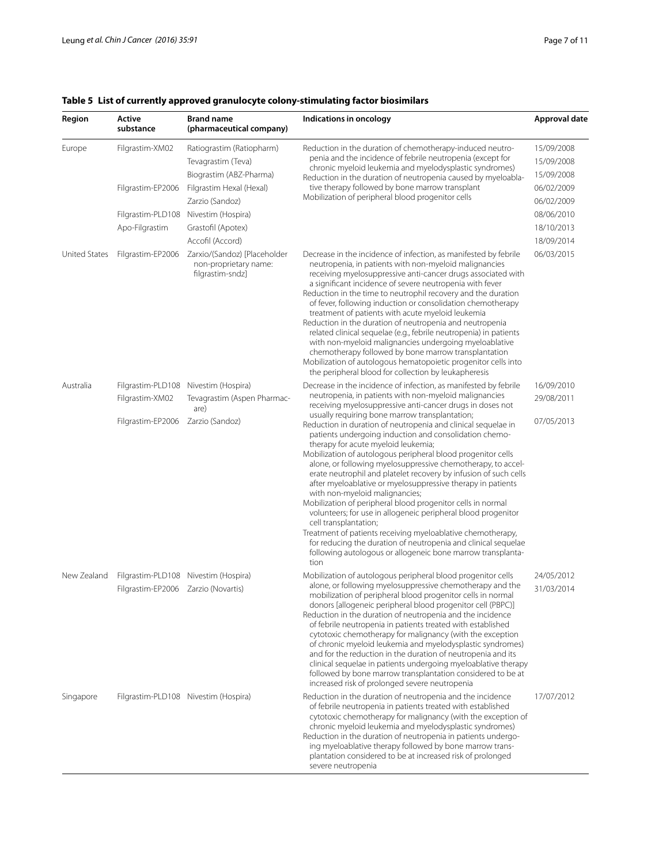| Region        | Active<br>substance                 | <b>Brand name</b><br>(pharmaceutical company)                              | Indications in oncology                                                                                                                                                                                                                                                                                                                                                                                                                                                                                                                                                                                                                                                                                                                                                                                                              | Approval date                          |
|---------------|-------------------------------------|----------------------------------------------------------------------------|--------------------------------------------------------------------------------------------------------------------------------------------------------------------------------------------------------------------------------------------------------------------------------------------------------------------------------------------------------------------------------------------------------------------------------------------------------------------------------------------------------------------------------------------------------------------------------------------------------------------------------------------------------------------------------------------------------------------------------------------------------------------------------------------------------------------------------------|----------------------------------------|
| Europe        | Filgrastim-XM02                     | Ratiograstim (Ratiopharm)<br>Tevagrastim (Teva)<br>Biograstim (ABZ-Pharma) | Reduction in the duration of chemotherapy-induced neutro-<br>penia and the incidence of febrile neutropenia (except for<br>chronic myeloid leukemia and myelodysplastic syndromes)<br>Reduction in the duration of neutropenia caused by myeloabla-                                                                                                                                                                                                                                                                                                                                                                                                                                                                                                                                                                                  | 15/09/2008<br>15/09/2008<br>15/09/2008 |
|               | Filgrastim-EP2006                   | Filgrastim Hexal (Hexal)<br>Zarzio (Sandoz)                                | tive therapy followed by bone marrow transplant<br>Mobilization of peripheral blood progenitor cells                                                                                                                                                                                                                                                                                                                                                                                                                                                                                                                                                                                                                                                                                                                                 | 06/02/2009<br>06/02/2009               |
|               | Filgrastim-PLD108                   | Nivestim (Hospira)                                                         |                                                                                                                                                                                                                                                                                                                                                                                                                                                                                                                                                                                                                                                                                                                                                                                                                                      | 08/06/2010                             |
|               | Apo-Filgrastim                      | Grastofil (Apotex)                                                         |                                                                                                                                                                                                                                                                                                                                                                                                                                                                                                                                                                                                                                                                                                                                                                                                                                      | 18/10/2013                             |
|               |                                     | Accofil (Accord)                                                           |                                                                                                                                                                                                                                                                                                                                                                                                                                                                                                                                                                                                                                                                                                                                                                                                                                      | 18/09/2014                             |
| United States | Filgrastim-EP2006                   | Zarxio/(Sandoz) [Placeholder<br>non-proprietary name:<br>filgrastim-sndz]  | Decrease in the incidence of infection, as manifested by febrile<br>neutropenia, in patients with non-myeloid malignancies<br>receiving myelosuppressive anti-cancer drugs associated with<br>a significant incidence of severe neutropenia with fever<br>Reduction in the time to neutrophil recovery and the duration<br>of fever, following induction or consolidation chemotherapy<br>treatment of patients with acute myeloid leukemia<br>Reduction in the duration of neutropenia and neutropenia<br>related clinical sequelae (e.g., febrile neutropenia) in patients<br>with non-myeloid malignancies undergoing myeloablative<br>chemotherapy followed by bone marrow transplantation<br>Mobilization of autologous hematopoietic progenitor cells into<br>the peripheral blood for collection by leukapheresis             | 06/03/2015                             |
| Australia     |                                     | Filgrastim-PLD108 Nivestim (Hospira)                                       | Decrease in the incidence of infection, as manifested by febrile                                                                                                                                                                                                                                                                                                                                                                                                                                                                                                                                                                                                                                                                                                                                                                     | 16/09/2010                             |
|               | Filgrastim-XM02                     | Tevagrastim (Aspen Pharmac-<br>are)                                        | neutropenia, in patients with non-myeloid malignancies<br>receiving myelosuppressive anti-cancer drugs in doses not<br>usually requiring bone marrow transplantation;                                                                                                                                                                                                                                                                                                                                                                                                                                                                                                                                                                                                                                                                | 29/08/2011                             |
|               | Filgrastim-EP2006 Zarzio (Sandoz)   |                                                                            | Reduction in duration of neutropenia and clinical sequelae in<br>patients undergoing induction and consolidation chemo-<br>therapy for acute myeloid leukemia;<br>Mobilization of autologous peripheral blood progenitor cells<br>alone, or following myelosuppressive chemotherapy, to accel-<br>erate neutrophil and platelet recovery by infusion of such cells<br>after myeloablative or myelosuppressive therapy in patients<br>with non-myeloid malignancies;<br>Mobilization of peripheral blood progenitor cells in normal<br>volunteers; for use in allogeneic peripheral blood progenitor<br>cell transplantation;<br>Treatment of patients receiving myeloablative chemotherapy,<br>for reducing the duration of neutropenia and clinical sequelae<br>following autologous or allogeneic bone marrow transplanta-<br>tion | 07/05/2013                             |
| New Zealand   | Filgrastim-EP2006 Zarzio (Novartis) | Filgrastim-PLD108 Nivestim (Hospira)                                       | Mobilization of autologous peripheral blood progenitor cells<br>alone, or following myelosuppressive chemotherapy and the<br>mobilization of peripheral blood progenitor cells in normal<br>donors [allogeneic peripheral blood progenitor cell (PBPC)]<br>Reduction in the duration of neutropenia and the incidence<br>of febrile neutropenia in patients treated with established<br>cytotoxic chemotherapy for malignancy (with the exception<br>of chronic myeloid leukemia and myelodysplastic syndromes)<br>and for the reduction in the duration of neutropenia and its<br>clinical sequelae in patients undergoing myeloablative therapy<br>followed by bone marrow transplantation considered to be at<br>increased risk of prolonged severe neutropenia                                                                   | 24/05/2012<br>31/03/2014               |
| Singapore     |                                     | Filgrastim-PLD108 Nivestim (Hospira)                                       | Reduction in the duration of neutropenia and the incidence<br>of febrile neutropenia in patients treated with established<br>cytotoxic chemotherapy for malignancy (with the exception of<br>chronic myeloid leukemia and myelodysplastic syndromes)<br>Reduction in the duration of neutropenia in patients undergo-<br>ing myeloablative therapy followed by bone marrow trans-<br>plantation considered to be at increased risk of prolonged<br>severe neutropenia                                                                                                                                                                                                                                                                                                                                                                | 17/07/2012                             |

## <span id="page-6-0"></span>**Table 5 List of currently approved granulocyte colony-stimulating factor biosimilars**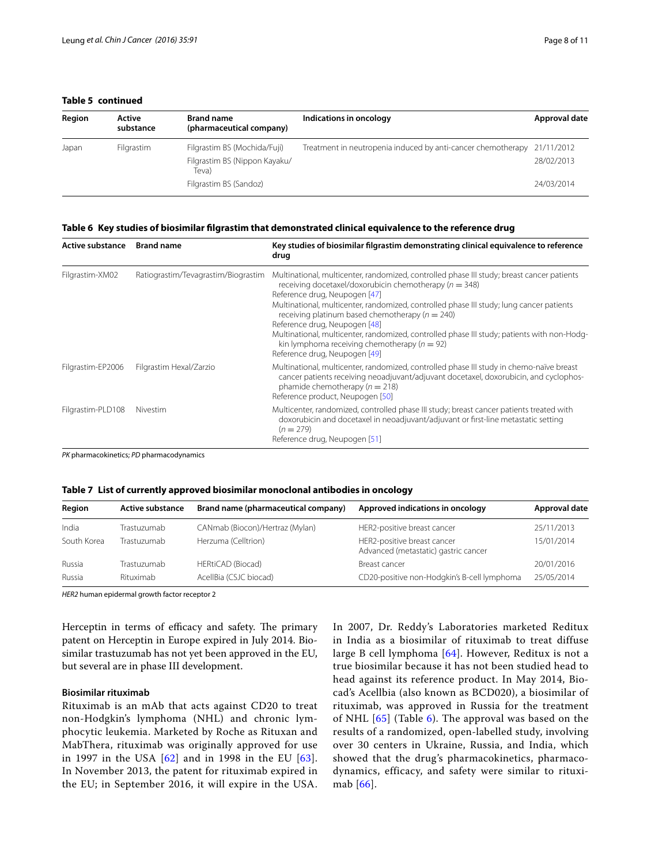## **Table 5 continued**

| Region | <b>Active</b><br>substance | <b>Brand name</b><br>(pharmaceutical company)                          | Indications in oncology                                      | Approval date            |
|--------|----------------------------|------------------------------------------------------------------------|--------------------------------------------------------------|--------------------------|
| Japan  | Filgrastim                 | Filgrastim BS (Mochida/Fuji)<br>Filgrastim BS (Nippon Kayaku/<br>Teva) | Treatment in neutropenia induced by anti-cancer chemotherapy | 21/11/2012<br>28/02/2013 |
|        |                            | Filgrastim BS (Sandoz)                                                 |                                                              | 24/03/2014               |

#### <span id="page-7-0"></span>**Table 6 Key studies of biosimilar filgrastim that demonstrated clinical equivalence to the reference drug**

| Active substance  | <b>Brand name</b>                   | Key studies of biosimilar filgrastim demonstrating clinical equivalence to reference<br>drug                                                                                                                                                                                                                                                                                                                                                                                                                                                                      |
|-------------------|-------------------------------------|-------------------------------------------------------------------------------------------------------------------------------------------------------------------------------------------------------------------------------------------------------------------------------------------------------------------------------------------------------------------------------------------------------------------------------------------------------------------------------------------------------------------------------------------------------------------|
| Filgrastim-XM02   | Ratiograstim/Tevagrastim/Biograstim | Multinational, multicenter, randomized, controlled phase III study; breast cancer patients<br>receiving docetaxel/doxorubicin chemotherapy ( $n = 348$ )<br>Reference drug, Neupogen [47]<br>Multinational, multicenter, randomized, controlled phase III study; lung cancer patients<br>receiving platinum based chemotherapy ( $n = 240$ )<br>Reference drug, Neupogen [48]<br>Multinational, multicenter, randomized, controlled phase III study; patients with non-Hodg-<br>kin lymphoma receiving chemotherapy ( $n = 92$ )<br>Reference drug, Neupogen [49] |
| Filgrastim-EP2006 | Filgrastim Hexal/Zarzio             | Multinational, multicenter, randomized, controlled phase III study in chemo-naïve breast<br>cancer patients receiving neoadjuvant/adjuvant docetaxel, doxorubicin, and cyclophos-<br>phamide chemotherapy ( $n = 218$ )<br>Reference product, Neupogen [50]                                                                                                                                                                                                                                                                                                       |
| Filgrastim-PLD108 | Nivestim                            | Multicenter, randomized, controlled phase III study; breast cancer patients treated with<br>doxorubicin and docetaxel in neoadjuvant/adjuvant or first-line metastatic setting<br>$(n = 279)$<br>Reference drug, Neupogen [51]                                                                                                                                                                                                                                                                                                                                    |

*PK* pharmacokinetics; *PD* pharmacodynamics

<span id="page-7-1"></span>**Table 7 List of currently approved biosimilar monoclonal antibodies in oncology**

| Region      | <b>Active substance</b> | Brand name (pharmaceutical company) | Approved indications in oncology                                    | Approval date |
|-------------|-------------------------|-------------------------------------|---------------------------------------------------------------------|---------------|
| India       | Trastuzumab             | CANmab (Biocon)/Hertraz (Mylan)     | HER2-positive breast cancer                                         | 25/11/2013    |
| South Korea | Trastuzumab             | Herzuma (Celltrion)                 | HER2-positive breast cancer<br>Advanced (metastatic) gastric cancer | 15/01/2014    |
| Russia      | Trastuzumab             | HERtiCAD (Biocad)                   | Breast cancer                                                       | 20/01/2016    |
| Russia      | Rituximab               | AcellBia (CSJC biocad)              | CD20-positive non-Hodgkin's B-cell lymphoma                         | 25/05/2014    |

*HER2* human epidermal growth factor receptor 2

Herceptin in terms of efficacy and safety. The primary patent on Herceptin in Europe expired in July 2014. Biosimilar trastuzumab has not yet been approved in the EU, but several are in phase III development.

## **Biosimilar rituximab**

Rituximab is an mAb that acts against CD20 to treat non-Hodgkin's lymphoma (NHL) and chronic lymphocytic leukemia. Marketed by Roche as Rituxan and MabThera, rituximab was originally approved for use in 1997 in the USA [\[62\]](#page-10-0) and in 1998 in the EU [[63\]](#page-10-1). In November 2013, the patent for rituximab expired in the EU; in September 2016, it will expire in the USA. In 2007, Dr. Reddy's Laboratories marketed Reditux in India as a biosimilar of rituximab to treat diffuse large B cell lymphoma [[64\]](#page-10-2). However, Reditux is not a true biosimilar because it has not been studied head to head against its reference product. In May 2014, Biocad's Acellbia (also known as BCD020), a biosimilar of rituximab, was approved in Russia for the treatment of NHL [[65](#page-10-3)] (Table [6\)](#page-7-0). The approval was based on the results of a randomized, open-labelled study, involving over 30 centers in Ukraine, Russia, and India, which showed that the drug's pharmacokinetics, pharmacodynamics, efficacy, and safety were similar to rituximab [[66](#page-10-4)].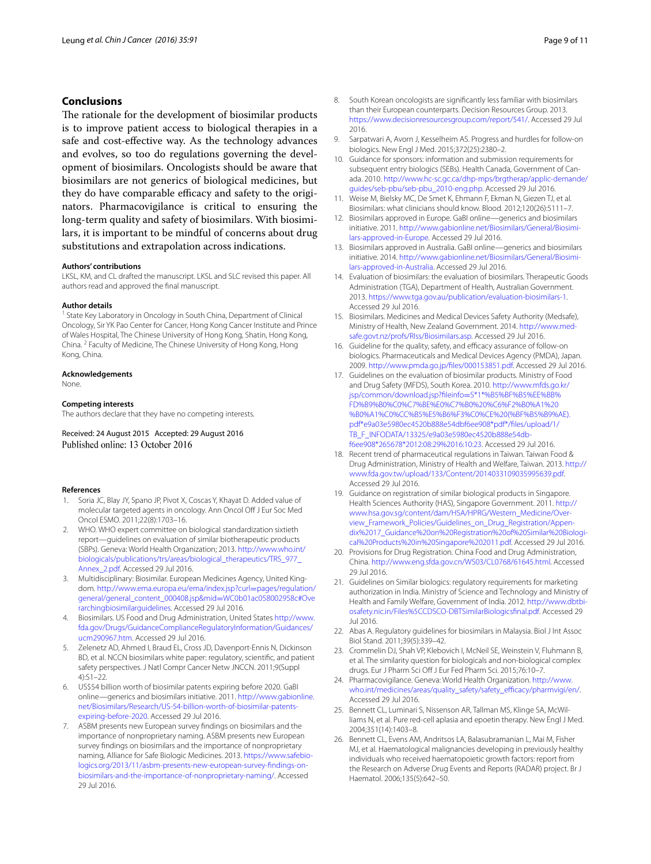## **Conclusions**

The rationale for the development of biosimilar products is to improve patient access to biological therapies in a safe and cost-effective way. As the technology advances and evolves, so too do regulations governing the development of biosimilars. Oncologists should be aware that biosimilars are not generics of biological medicines, but they do have comparable efficacy and safety to the originators. Pharmacovigilance is critical to ensuring the long-term quality and safety of biosimilars. With biosimilars, it is important to be mindful of concerns about drug substitutions and extrapolation across indications.

#### **Authors' contributions**

LKSL, KM, and CL drafted the manuscript. LKSL and SLC revised this paper. All authors read and approved the final manuscript.

#### **Author details**

<sup>1</sup> State Key Laboratory in Oncology in South China, Department of Clinical Oncology, Sir YK Pao Center for Cancer, Hong Kong Cancer Institute and Prince of Wales Hospital, The Chinese University of Hong Kong, Shatin, Hong Kong, China. <sup>2</sup> Faculty of Medicine, The Chinese University of Hong Kong, Hong Kong, China.

#### **Acknowledgements**

None.

### **Competing interests**

The authors declare that they have no competing interests.

Received: 24 August 2015 Accepted: 29 August 2016 Published online: 13 October 2016

#### **References**

- <span id="page-8-0"></span>Soria JC, Blay JY, Spano JP, Pivot X, Coscas Y, Khayat D. Added value of molecular targeted agents in oncology. Ann Oncol Off J Eur Soc Med Oncol ESMO. 2011;22(8):1703–16.
- <span id="page-8-1"></span>2. WHO. WHO expert committee on biological standardization sixtieth report—guidelines on evaluation of similar biotherapeutic products (SBPs). Geneva: World Health Organization; 2013. [http://www.who.int/](http://www.who.int/biologicals/publications/trs/areas/biological_therapeutics/TRS_977_Annex_2.pdf) [biologicals/publications/trs/areas/biological\\_therapeutics/TRS\\_977\\_](http://www.who.int/biologicals/publications/trs/areas/biological_therapeutics/TRS_977_Annex_2.pdf) [Annex\\_2.pdf.](http://www.who.int/biologicals/publications/trs/areas/biological_therapeutics/TRS_977_Annex_2.pdf) Accessed 29 Jul 2016.
- <span id="page-8-6"></span>3. Multidisciplinary: Biosimilar. European Medicines Agency, United Kingdom. [http://www.ema.europa.eu/ema/index.jsp?curl](http://www.ema.europa.eu/ema/index.jsp%3fcurl%3dpages/regulation/general/general_content_000408.jsp%26mid%3dWC0b01ac058002958c%23Overarchingbiosimilarguidelines)=pages/regulation/ [general/general\\_content\\_000408.jsp&mid](http://www.ema.europa.eu/ema/index.jsp%3fcurl%3dpages/regulation/general/general_content_000408.jsp%26mid%3dWC0b01ac058002958c%23Overarchingbiosimilarguidelines)=WC0b01ac058002958c#Ove [rarchingbiosimilarguidelines](http://www.ema.europa.eu/ema/index.jsp%3fcurl%3dpages/regulation/general/general_content_000408.jsp%26mid%3dWC0b01ac058002958c%23Overarchingbiosimilarguidelines). Accessed 29 Jul 2016.
- <span id="page-8-7"></span>4. Biosimilars. US Food and Drug Administration, United States [http://www.](http://www.fda.gov/Drugs/GuidanceComplianceRegulatoryInformation/Guidances/ucm290967.htm) [fda.gov/Drugs/GuidanceComplianceRegulatoryInformation/Guidances/](http://www.fda.gov/Drugs/GuidanceComplianceRegulatoryInformation/Guidances/ucm290967.htm) [ucm290967.htm.](http://www.fda.gov/Drugs/GuidanceComplianceRegulatoryInformation/Guidances/ucm290967.htm) Accessed 29 Jul 2016.
- <span id="page-8-2"></span>5. Zelenetz AD, Ahmed I, Braud EL, Cross JD, Davenport-Ennis N, Dickinson BD, et al. NCCN biosimilars white paper: regulatory, scientific, and patient safety perspectives. J Natl Compr Cancer Netw JNCCN. 2011;9(Suppl 4):S1–22.
- <span id="page-8-3"></span>6. US\$54 billion worth of biosimilar patents expiring before 2020. GaBI online—generics and biosimilars initiative. 2011. [http://www.gabionline.](http://www.gabionline.net/Biosimilars/Research/US-54-billion-worth-of-biosimilar-patents-expiring-before-2020) [net/Biosimilars/Research/US-54-billion-worth-of-biosimilar-patents](http://www.gabionline.net/Biosimilars/Research/US-54-billion-worth-of-biosimilar-patents-expiring-before-2020)[expiring-before-2020.](http://www.gabionline.net/Biosimilars/Research/US-54-billion-worth-of-biosimilar-patents-expiring-before-2020) Accessed 29 Jul 2016.
- <span id="page-8-4"></span>7. ASBM presents new European survey findings on biosimilars and the importance of nonproprietary naming. ASBM presents new European survey findings on biosimilars and the importance of nonproprietary naming, Alliance for Safe Biologic Medicines. 2013. [https://www.safebio](https://www.safebiologics.org/2013/11/asbm-presents-new-european-survey-findings-on-biosimilars-and-the-importance-of-nonproprietary-naming/)[logics.org/2013/11/asbm-presents-new-european-survey-findings-on](https://www.safebiologics.org/2013/11/asbm-presents-new-european-survey-findings-on-biosimilars-and-the-importance-of-nonproprietary-naming/)[biosimilars-and-the-importance-of-nonproprietary-naming/](https://www.safebiologics.org/2013/11/asbm-presents-new-european-survey-findings-on-biosimilars-and-the-importance-of-nonproprietary-naming/). Accessed 29 Jul 2016.
- <span id="page-8-5"></span>8. South Korean oncologists are significantly less familiar with biosimilars than their European counterparts. Decision Resources Group. 2013. <https://www.decisionresourcesgroup.com/report/541/>. Accessed 29 Jul 2016.
- <span id="page-8-8"></span>9. Sarpatwari A, Avorn J, Kesselheim AS. Progress and hurdles for follow-on biologics. New Engl J Med. 2015;372(25):2380–2.
- <span id="page-8-9"></span>10. Guidance for sponsors: information and submission requirements for subsequent entry biologics (SEBs). Health Canada, Government of Canada. 2010. [http://www.hc-sc.gc.ca/dhp-mps/brgtherap/applic-demande/](http://www.hc-sc.gc.ca/dhp-mps/brgtherap/applic-demande/guides/seb-pbu/seb-pbu_2010-eng.php) [guides/seb-pbu/seb-pbu\\_2010-eng.php](http://www.hc-sc.gc.ca/dhp-mps/brgtherap/applic-demande/guides/seb-pbu/seb-pbu_2010-eng.php). Accessed 29 Jul 2016.
- <span id="page-8-10"></span>11. Weise M, Bielsky MC, De Smet K, Ehmann F, Ekman N, Giezen TJ, et al. Biosimilars: what clinicians should know. Blood. 2012;120(26):5111–7.
- <span id="page-8-11"></span>12. Biosimilars approved in Europe. GaBI online—generics and biosimilars initiative. 2011. [http://www.gabionline.net/Biosimilars/General/Biosimi](http://www.gabionline.net/Biosimilars/General/Biosimilars-approved-in-Europe)[lars-approved-in-Europe](http://www.gabionline.net/Biosimilars/General/Biosimilars-approved-in-Europe). Accessed 29 Jul 2016.
- <span id="page-8-12"></span>13. Biosimilars approved in Australia. GaBI online—generics and biosimilars initiative. 2014. [http://www.gabionline.net/Biosimilars/General/Biosimi](http://www.gabionline.net/Biosimilars/General/Biosimilars-approved-in-Australia)[lars-approved-in-Australia](http://www.gabionline.net/Biosimilars/General/Biosimilars-approved-in-Australia). Accessed 29 Jul 2016.
- <span id="page-8-13"></span>14. Evaluation of biosimilars: the evaluation of biosimilars. Therapeutic Goods Administration (TGA), Department of Health, Australian Government. 2013.<https://www.tga.gov.au/publication/evaluation-biosimilars-1>. Accessed 29 Jul 2016.
- <span id="page-8-14"></span>15. Biosimilars. Medicines and Medical Devices Safety Authority (Medsafe), Ministry of Health, New Zealand Government. 2014. [http://www.med](http://www.medsafe.govt.nz/profs/RIss/Biosimilars.asp)[safe.govt.nz/profs/RIss/Biosimilars.asp](http://www.medsafe.govt.nz/profs/RIss/Biosimilars.asp). Accessed 29 Jul 2016.
- <span id="page-8-16"></span>16. Guideline for the quality, safety, and efficacy assurance of follow-on biologics. Pharmaceuticals and Medical Devices Agency (PMDA), Japan. 2009.<http://www.pmda.go.jp/files/000153851.pdf>. Accessed 29 Jul 2016.
- 17. Guidelines on the evaluation of biosimilar products. Ministry of Food and Drug Safety (MFDS), South Korea. 2010. [http://www.mfds.go.kr/](http://www.mfds.go.kr/jsp/common/download.jsp%3ffileinfo%3dS*1*%25B5%25BF%25B5%25EE%25BB%25FD%25B9%25B0%25C0%25C7%25BE%25E0%25C7%25B0%20%25C6%25F2%25B0%25A1%20%25B0%25A1%25C0%25CC%25B5%25E5%25B6%25F3%25C0%25CE%20(%25BF%25B5%25B9%25AE).pdf*e9a03e5980ec4520b888e54dbf6ee908*pdf*/files/upload/1/TB_F_INFODATA/13325/e9a03e5980ec4520b888e54dbf6ee908*265678*2012:08:29%2016:10:23) [jsp/common/download.jsp?fileinfo](http://www.mfds.go.kr/jsp/common/download.jsp%3ffileinfo%3dS*1*%25B5%25BF%25B5%25EE%25BB%25FD%25B9%25B0%25C0%25C7%25BE%25E0%25C7%25B0%20%25C6%25F2%25B0%25A1%20%25B0%25A1%25C0%25CC%25B5%25E5%25B6%25F3%25C0%25CE%20(%25BF%25B5%25B9%25AE).pdf*e9a03e5980ec4520b888e54dbf6ee908*pdf*/files/upload/1/TB_F_INFODATA/13325/e9a03e5980ec4520b888e54dbf6ee908*265678*2012:08:29%2016:10:23)=S\*1\*%B5%BF%B5%EE%BB% [FD%B9%B0%C0%C7%BE%E0%C7%B0%20%C6%F2%B0%A1%20](http://www.mfds.go.kr/jsp/common/download.jsp%3ffileinfo%3dS*1*%25B5%25BF%25B5%25EE%25BB%25FD%25B9%25B0%25C0%25C7%25BE%25E0%25C7%25B0%20%25C6%25F2%25B0%25A1%20%25B0%25A1%25C0%25CC%25B5%25E5%25B6%25F3%25C0%25CE%20(%25BF%25B5%25B9%25AE).pdf*e9a03e5980ec4520b888e54dbf6ee908*pdf*/files/upload/1/TB_F_INFODATA/13325/e9a03e5980ec4520b888e54dbf6ee908*265678*2012:08:29%2016:10:23) [%B0%A1%C0%CC%B5%E5%B6%F3%C0%CE%20\(%BF%B5%B9%AE\).](http://www.mfds.go.kr/jsp/common/download.jsp%3ffileinfo%3dS*1*%25B5%25BF%25B5%25EE%25BB%25FD%25B9%25B0%25C0%25C7%25BE%25E0%25C7%25B0%20%25C6%25F2%25B0%25A1%20%25B0%25A1%25C0%25CC%25B5%25E5%25B6%25F3%25C0%25CE%20(%25BF%25B5%25B9%25AE).pdf*e9a03e5980ec4520b888e54dbf6ee908*pdf*/files/upload/1/TB_F_INFODATA/13325/e9a03e5980ec4520b888e54dbf6ee908*265678*2012:08:29%2016:10:23) [pdf\\*e9a03e5980ec4520b888e54dbf6ee908\\*pdf\\*/files/upload/1/](http://www.mfds.go.kr/jsp/common/download.jsp%3ffileinfo%3dS*1*%25B5%25BF%25B5%25EE%25BB%25FD%25B9%25B0%25C0%25C7%25BE%25E0%25C7%25B0%20%25C6%25F2%25B0%25A1%20%25B0%25A1%25C0%25CC%25B5%25E5%25B6%25F3%25C0%25CE%20(%25BF%25B5%25B9%25AE).pdf*e9a03e5980ec4520b888e54dbf6ee908*pdf*/files/upload/1/TB_F_INFODATA/13325/e9a03e5980ec4520b888e54dbf6ee908*265678*2012:08:29%2016:10:23) [TB\\_F\\_INFODATA/13325/e9a03e5980ec4520b888e54db](http://www.mfds.go.kr/jsp/common/download.jsp%3ffileinfo%3dS*1*%25B5%25BF%25B5%25EE%25BB%25FD%25B9%25B0%25C0%25C7%25BE%25E0%25C7%25B0%20%25C6%25F2%25B0%25A1%20%25B0%25A1%25C0%25CC%25B5%25E5%25B6%25F3%25C0%25CE%20(%25BF%25B5%25B9%25AE).pdf*e9a03e5980ec4520b888e54dbf6ee908*pdf*/files/upload/1/TB_F_INFODATA/13325/e9a03e5980ec4520b888e54dbf6ee908*265678*2012:08:29%2016:10:23)[f6ee908\\*265678\\*2012:08:29%2016:10:23.](http://www.mfds.go.kr/jsp/common/download.jsp%3ffileinfo%3dS*1*%25B5%25BF%25B5%25EE%25BB%25FD%25B9%25B0%25C0%25C7%25BE%25E0%25C7%25B0%20%25C6%25F2%25B0%25A1%20%25B0%25A1%25C0%25CC%25B5%25E5%25B6%25F3%25C0%25CE%20(%25BF%25B5%25B9%25AE).pdf*e9a03e5980ec4520b888e54dbf6ee908*pdf*/files/upload/1/TB_F_INFODATA/13325/e9a03e5980ec4520b888e54dbf6ee908*265678*2012:08:29%2016:10:23) Accessed 29 Jul 2016.
- 18. Recent trend of pharmaceutical regulations in Taiwan. Taiwan Food & Drug Administration, Ministry of Health and Welfare, Taiwan. 2013. [http://](http://www.fda.gov.tw/upload/133/Content/2014033109035995639.pdf) [www.fda.gov.tw/upload/133/Content/2014033109035995639.pdf](http://www.fda.gov.tw/upload/133/Content/2014033109035995639.pdf). Accessed 29 Jul 2016.
- <span id="page-8-17"></span>19. Guidance on registration of similar biological products in Singapore. Health Sciences Authority (HAS), Singapore Government. 2011. [http://](http://www.hsa.gov.sg/content/dam/HSA/HPRG/Western_Medicine/Overview_Framework_Policies/Guidelines_on_Drug_Registration/Appendix%2017_Guidance%20on%20Registration%20of%20Similar%20Biological%20Products%20in%20Singapore%202011.pdf) [www.hsa.gov.sg/content/dam/HSA/HPRG/Western\\_Medicine/Over](http://www.hsa.gov.sg/content/dam/HSA/HPRG/Western_Medicine/Overview_Framework_Policies/Guidelines_on_Drug_Registration/Appendix%2017_Guidance%20on%20Registration%20of%20Similar%20Biological%20Products%20in%20Singapore%202011.pdf)[view\\_Framework\\_Policies/Guidelines\\_on\\_Drug\\_Registration/Appen](http://www.hsa.gov.sg/content/dam/HSA/HPRG/Western_Medicine/Overview_Framework_Policies/Guidelines_on_Drug_Registration/Appendix%2017_Guidance%20on%20Registration%20of%20Similar%20Biological%20Products%20in%20Singapore%202011.pdf)[dix%2017\\_Guidance%20on%20Registration%20of%20Similar%20Biologi](http://www.hsa.gov.sg/content/dam/HSA/HPRG/Western_Medicine/Overview_Framework_Policies/Guidelines_on_Drug_Registration/Appendix%2017_Guidance%20on%20Registration%20of%20Similar%20Biological%20Products%20in%20Singapore%202011.pdf)[cal%20Products%20in%20Singapore%202011.pdf.](http://www.hsa.gov.sg/content/dam/HSA/HPRG/Western_Medicine/Overview_Framework_Policies/Guidelines_on_Drug_Registration/Appendix%2017_Guidance%20on%20Registration%20of%20Similar%20Biological%20Products%20in%20Singapore%202011.pdf) Accessed 29 Jul 2016.
- <span id="page-8-19"></span>20. Provisions for Drug Registration. China Food and Drug Administration, China. [http://www.eng.sfda.gov.cn/WS03/CL0768/61645.html.](http://www.eng.sfda.gov.cn/WS03/CL0768/61645.html) Accessed 29 Jul 2016.
- <span id="page-8-15"></span>21. Guidelines on Similar biologics: regulatory requirements for marketing authorization in India. Ministry of Science and Technology and Ministry of Health and Family Welfare, Government of India. 2012. [http://www.dbtbi](http://www.dbtbiosafety.nic.in/Files%255CCDSCO-DBTSimilarBiologicsfinal.pdf)[osafety.nic.in/Files%5CCDSCO-DBTSimilarBiologicsfinal.pdf](http://www.dbtbiosafety.nic.in/Files%255CCDSCO-DBTSimilarBiologicsfinal.pdf). Accessed 29 Jul 2016.
- <span id="page-8-18"></span>22. Abas A. Regulatory guidelines for biosimilars in Malaysia. Biol J Int Assoc Biol Stand. 2011;39(5):339–42.
- <span id="page-8-20"></span>23. Crommelin DJ, Shah VP, Klebovich I, McNeil SE, Weinstein V, Fluhmann B, et al. The similarity question for biologicals and non-biological complex drugs. Eur J Pharm Sci Off J Eur Fed Pharm Sci. 2015;76:10–7.
- <span id="page-8-21"></span>24. Pharmacovigilance. Geneva: World Health Organization. [http://www.](http://www.who.int/medicines/areas/quality_safety/safety_efficacy/pharmvigi/en/) [who.int/medicines/areas/quality\\_safety/safety\\_efficacy/pharmvigi/en/](http://www.who.int/medicines/areas/quality_safety/safety_efficacy/pharmvigi/en/). Accessed 29 Jul 2016.
- <span id="page-8-22"></span>25. Bennett CL, Luminari S, Nissenson AR, Tallman MS, Klinge SA, McWilliams N, et al. Pure red-cell aplasia and epoetin therapy. New Engl J Med. 2004;351(14):1403–8.
- <span id="page-8-23"></span>26. Bennett CL, Evens AM, Andritsos LA, Balasubramanian L, Mai M, Fisher MJ, et al. Haematological malignancies developing in previously healthy individuals who received haematopoietic growth factors: report from the Research on Adverse Drug Events and Reports (RADAR) project. Br J Haematol. 2006;135(5):642–50.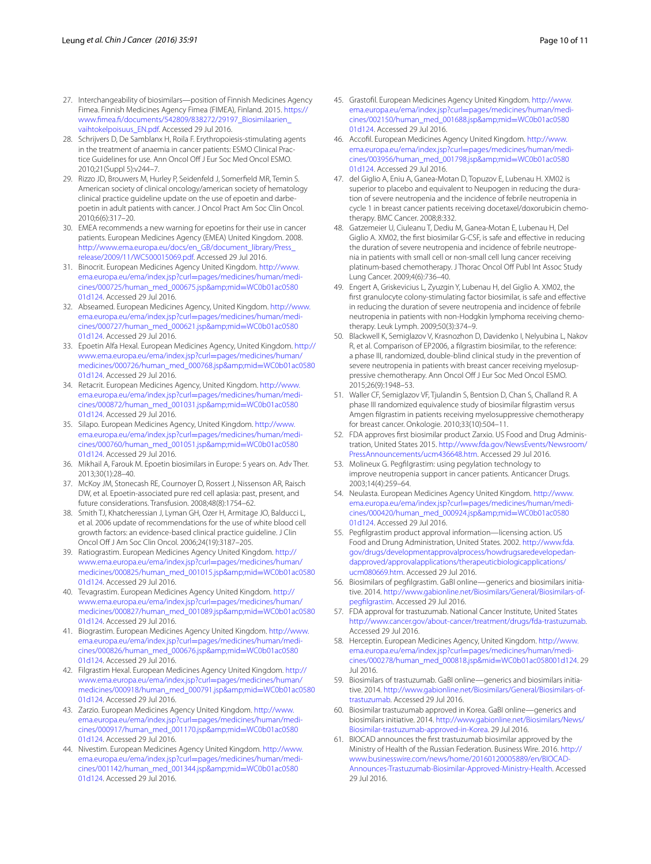- <span id="page-9-0"></span>27. Interchangeability of biosimilars—position of Finnish Medicines Agency Fimea. Finnish Medicines Agency Fimea (FIMEA), Finland. 2015. [https://](https://www.fimea.fi/documents/542809/838272/29197_Biosimilaarien_vaihtokelpoisuus_EN.pdf) [www.fimea.fi/documents/542809/838272/29197\\_Biosimilaarien\\_](https://www.fimea.fi/documents/542809/838272/29197_Biosimilaarien_vaihtokelpoisuus_EN.pdf) [vaihtokelpoisuus\\_EN.pdf](https://www.fimea.fi/documents/542809/838272/29197_Biosimilaarien_vaihtokelpoisuus_EN.pdf). Accessed 29 Jul 2016.
- <span id="page-9-1"></span>28. Schrijvers D, De Samblanx H, Roila F. Erythropoiesis-stimulating agents in the treatment of anaemia in cancer patients: ESMO Clinical Practice Guidelines for use. Ann Oncol Off J Eur Soc Med Oncol ESMO. 2010;21(Suppl 5):v244–7.
- <span id="page-9-2"></span>29. Rizzo JD, Brouwers M, Hurley P, Seidenfeld J, Somerfield MR, Temin S. American society of clinical oncology/american society of hematology clinical practice guideline update on the use of epoetin and darbepoetin in adult patients with cancer. J Oncol Pract Am Soc Clin Oncol. 2010;6(6):317–20.
- <span id="page-9-3"></span>30. EMEA recommends a new warning for epoetins for their use in cancer patients. European Medicines Agency (EMEA) United Kingdom. 2008. [http://www.ema.europa.eu/docs/en\\_GB/document\\_library/Press\\_](http://www.ema.europa.eu/docs/en_GB/document_library/Press_release/2009/11/WC500015069.pdf) [release/2009/11/WC500015069.pdf](http://www.ema.europa.eu/docs/en_GB/document_library/Press_release/2009/11/WC500015069.pdf). Accessed 29 Jul 2016.
- <span id="page-9-4"></span>31. Binocrit. European Medicines Agency United Kingdom. [http://www.](http://www.ema.europa.eu/ema/index.jsp%3fcurl%3dpages/medicines/human/medicines/000725/human_med_000675.jsp%26amp%3bmid%3dWC0b01ac058001d124) [ema.europa.eu/ema/index.jsp?curl](http://www.ema.europa.eu/ema/index.jsp%3fcurl%3dpages/medicines/human/medicines/000725/human_med_000675.jsp%26amp%3bmid%3dWC0b01ac058001d124)=pages/medicines/human/medi[cines/000725/human\\_med\\_000675.jsp&mid](http://www.ema.europa.eu/ema/index.jsp%3fcurl%3dpages/medicines/human/medicines/000725/human_med_000675.jsp%26amp%3bmid%3dWC0b01ac058001d124)=WC0b01ac0580 [01d124](http://www.ema.europa.eu/ema/index.jsp%3fcurl%3dpages/medicines/human/medicines/000725/human_med_000675.jsp%26amp%3bmid%3dWC0b01ac058001d124). Accessed 29 Jul 2016.
- 32. Abseamed. European Medicines Agency, United Kingdom. [http://www.](http://www.ema.europa.eu/ema/index.jsp%3fcurl%3dpages/medicines/human/medicines/000727/human_med_000621.jsp%26amp%3bmid%3dWC0b01ac058001d124) [ema.europa.eu/ema/index.jsp?curl](http://www.ema.europa.eu/ema/index.jsp%3fcurl%3dpages/medicines/human/medicines/000727/human_med_000621.jsp%26amp%3bmid%3dWC0b01ac058001d124)=pages/medicines/human/medi[cines/000727/human\\_med\\_000621.jsp&mid](http://www.ema.europa.eu/ema/index.jsp%3fcurl%3dpages/medicines/human/medicines/000727/human_med_000621.jsp%26amp%3bmid%3dWC0b01ac058001d124)=WC0b01ac0580 [01d124](http://www.ema.europa.eu/ema/index.jsp%3fcurl%3dpages/medicines/human/medicines/000727/human_med_000621.jsp%26amp%3bmid%3dWC0b01ac058001d124). Accessed 29 Jul 2016.
- 33. Epoetin Alfa Hexal. European Medicines Agency, United Kingdom. [http://](http://www.ema.europa.eu/ema/index.jsp%3fcurl%3dpages/medicines/human/medicines/000726/human_med_000768.jsp%26amp%3bmid%3dWC0b01ac058001d124) [www.ema.europa.eu/ema/index.jsp?curl](http://www.ema.europa.eu/ema/index.jsp%3fcurl%3dpages/medicines/human/medicines/000726/human_med_000768.jsp%26amp%3bmid%3dWC0b01ac058001d124)=pages/medicines/human/ [medicines/000726/human\\_med\\_000768.jsp&mid](http://www.ema.europa.eu/ema/index.jsp%3fcurl%3dpages/medicines/human/medicines/000726/human_med_000768.jsp%26amp%3bmid%3dWC0b01ac058001d124)=WC0b01ac0580 [01d124](http://www.ema.europa.eu/ema/index.jsp%3fcurl%3dpages/medicines/human/medicines/000726/human_med_000768.jsp%26amp%3bmid%3dWC0b01ac058001d124). Accessed 29 Jul 2016.
- 34. Retacrit. European Medicines Agency, United Kingdom. [http://www.](http://www.ema.europa.eu/ema/index.jsp%3fcurl%3dpages/medicines/human/medicines/000872/human_med_001031.jsp%26amp%3bmid%3dWC0b01ac058001d124) [ema.europa.eu/ema/index.jsp?curl](http://www.ema.europa.eu/ema/index.jsp%3fcurl%3dpages/medicines/human/medicines/000872/human_med_001031.jsp%26amp%3bmid%3dWC0b01ac058001d124)=pages/medicines/human/medi[cines/000872/human\\_med\\_001031.jsp&mid](http://www.ema.europa.eu/ema/index.jsp%3fcurl%3dpages/medicines/human/medicines/000872/human_med_001031.jsp%26amp%3bmid%3dWC0b01ac058001d124)=WC0b01ac0580 [01d124](http://www.ema.europa.eu/ema/index.jsp%3fcurl%3dpages/medicines/human/medicines/000872/human_med_001031.jsp%26amp%3bmid%3dWC0b01ac058001d124). Accessed 29 Jul 2016.
- <span id="page-9-5"></span>35. Silapo. European Medicines Agency, United Kingdom. [http://www.](http://www.ema.europa.eu/ema/index.jsp%3fcurl%3dpages/medicines/human/medicines/000760/human_med_001051.jsp%26amp%3bmid%3dWC0b01ac058001d124) [ema.europa.eu/ema/index.jsp?curl](http://www.ema.europa.eu/ema/index.jsp%3fcurl%3dpages/medicines/human/medicines/000760/human_med_001051.jsp%26amp%3bmid%3dWC0b01ac058001d124)=pages/medicines/human/medi[cines/000760/human\\_med\\_001051.jsp&mid](http://www.ema.europa.eu/ema/index.jsp%3fcurl%3dpages/medicines/human/medicines/000760/human_med_001051.jsp%26amp%3bmid%3dWC0b01ac058001d124)=WC0b01ac0580 [01d124](http://www.ema.europa.eu/ema/index.jsp%3fcurl%3dpages/medicines/human/medicines/000760/human_med_001051.jsp%26amp%3bmid%3dWC0b01ac058001d124). Accessed 29 Jul 2016.
- <span id="page-9-6"></span>36. Mikhail A, Farouk M. Epoetin biosimilars in Europe: 5 years on. Adv Ther. 2013;30(1):28–40.
- <span id="page-9-7"></span>37. McKoy JM, Stonecash RE, Cournoyer D, Rossert J, Nissenson AR, Raisch DW, et al. Epoetin-associated pure red cell aplasia: past, present, and future considerations. Transfusion. 2008;48(8):1754–62.
- <span id="page-9-8"></span>38. Smith TJ, Khatcheressian J, Lyman GH, Ozer H, Armitage JO, Balducci L, et al. 2006 update of recommendations for the use of white blood cell growth factors: an evidence-based clinical practice guideline. J Clin Oncol Off J Am Soc Clin Oncol. 2006;24(19):3187–205.
- <span id="page-9-9"></span>39. Ratiograstim. European Medicines Agency United Kingdom. [http://](http://www.ema.europa.eu/ema/index.jsp%3fcurl%3dpages/medicines/human/medicines/000825/human_med_001015.jsp%26amp%3bmid%3dWC0b01ac058001d124) [www.ema.europa.eu/ema/index.jsp?curl](http://www.ema.europa.eu/ema/index.jsp%3fcurl%3dpages/medicines/human/medicines/000825/human_med_001015.jsp%26amp%3bmid%3dWC0b01ac058001d124)=pages/medicines/human/ [medicines/000825/human\\_med\\_001015.jsp&mid](http://www.ema.europa.eu/ema/index.jsp%3fcurl%3dpages/medicines/human/medicines/000825/human_med_001015.jsp%26amp%3bmid%3dWC0b01ac058001d124)=WC0b01ac0580 [01d124](http://www.ema.europa.eu/ema/index.jsp%3fcurl%3dpages/medicines/human/medicines/000825/human_med_001015.jsp%26amp%3bmid%3dWC0b01ac058001d124). Accessed 29 Jul 2016.
- 40. Tevagrastim. European Medicines Agency United Kingdom. [http://](http://www.ema.europa.eu/ema/index.jsp%3fcurl%3dpages/medicines/human/medicines/000827/human_med_001089.jsp%26amp%3bmid%3dWC0b01ac058001d124) [www.ema.europa.eu/ema/index.jsp?curl](http://www.ema.europa.eu/ema/index.jsp%3fcurl%3dpages/medicines/human/medicines/000827/human_med_001089.jsp%26amp%3bmid%3dWC0b01ac058001d124)=pages/medicines/human/ [medicines/000827/human\\_med\\_001089.jsp&mid](http://www.ema.europa.eu/ema/index.jsp%3fcurl%3dpages/medicines/human/medicines/000827/human_med_001089.jsp%26amp%3bmid%3dWC0b01ac058001d124)=WC0b01ac0580 [01d124](http://www.ema.europa.eu/ema/index.jsp%3fcurl%3dpages/medicines/human/medicines/000827/human_med_001089.jsp%26amp%3bmid%3dWC0b01ac058001d124). Accessed 29 Jul 2016.
- 41. Biograstim. European Medicines Agency United Kingdom. [http://www.](http://www.ema.europa.eu/ema/index.jsp%3fcurl%3dpages/medicines/human/medicines/000826/human_med_000676.jsp%26amp%3bmid%3dWC0b01ac058001d124) [ema.europa.eu/ema/index.jsp?curl](http://www.ema.europa.eu/ema/index.jsp%3fcurl%3dpages/medicines/human/medicines/000826/human_med_000676.jsp%26amp%3bmid%3dWC0b01ac058001d124)=pages/medicines/human/medi[cines/000826/human\\_med\\_000676.jsp&mid](http://www.ema.europa.eu/ema/index.jsp%3fcurl%3dpages/medicines/human/medicines/000826/human_med_000676.jsp%26amp%3bmid%3dWC0b01ac058001d124)=WC0b01ac0580 [01d124](http://www.ema.europa.eu/ema/index.jsp%3fcurl%3dpages/medicines/human/medicines/000826/human_med_000676.jsp%26amp%3bmid%3dWC0b01ac058001d124). Accessed 29 Jul 2016.
- 42. Filgrastim Hexal. European Medicines Agency United Kingdom. [http://](http://www.ema.europa.eu/ema/index.jsp%3fcurl%3dpages/medicines/human/medicines/000918/human_med_000791.jsp%26amp%3bmid%3dWC0b01ac058001d124) [www.ema.europa.eu/ema/index.jsp?curl](http://www.ema.europa.eu/ema/index.jsp%3fcurl%3dpages/medicines/human/medicines/000918/human_med_000791.jsp%26amp%3bmid%3dWC0b01ac058001d124)=pages/medicines/human/ [medicines/000918/human\\_med\\_000791.jsp&mid](http://www.ema.europa.eu/ema/index.jsp%3fcurl%3dpages/medicines/human/medicines/000918/human_med_000791.jsp%26amp%3bmid%3dWC0b01ac058001d124)=WC0b01ac0580 [01d124](http://www.ema.europa.eu/ema/index.jsp%3fcurl%3dpages/medicines/human/medicines/000918/human_med_000791.jsp%26amp%3bmid%3dWC0b01ac058001d124). Accessed 29 Jul 2016.
- 43. Zarzio. European Medicines Agency United Kingdom. [http://www.](http://www.ema.europa.eu/ema/index.jsp%3fcurl%3dpages/medicines/human/medicines/000917/human_med_001170.jsp%26amp%3bmid%3dWC0b01ac058001d124) [ema.europa.eu/ema/index.jsp?curl](http://www.ema.europa.eu/ema/index.jsp%3fcurl%3dpages/medicines/human/medicines/000917/human_med_001170.jsp%26amp%3bmid%3dWC0b01ac058001d124)=pages/medicines/human/medi[cines/000917/human\\_med\\_001170.jsp&mid](http://www.ema.europa.eu/ema/index.jsp%3fcurl%3dpages/medicines/human/medicines/000917/human_med_001170.jsp%26amp%3bmid%3dWC0b01ac058001d124)=WC0b01ac0580 [01d124](http://www.ema.europa.eu/ema/index.jsp%3fcurl%3dpages/medicines/human/medicines/000917/human_med_001170.jsp%26amp%3bmid%3dWC0b01ac058001d124). Accessed 29 Jul 2016.
- 44. Nivestim. European Medicines Agency United Kingdom. [http://www.](http://www.ema.europa.eu/ema/index.jsp%3fcurl%3dpages/medicines/human/medicines/001142/human_med_001344.jsp%26amp%3bmid%3dWC0b01ac058001d124) [ema.europa.eu/ema/index.jsp?curl](http://www.ema.europa.eu/ema/index.jsp%3fcurl%3dpages/medicines/human/medicines/001142/human_med_001344.jsp%26amp%3bmid%3dWC0b01ac058001d124)=pages/medicines/human/medi[cines/001142/human\\_med\\_001344.jsp&mid](http://www.ema.europa.eu/ema/index.jsp%3fcurl%3dpages/medicines/human/medicines/001142/human_med_001344.jsp%26amp%3bmid%3dWC0b01ac058001d124)=WC0b01ac0580 [01d124](http://www.ema.europa.eu/ema/index.jsp%3fcurl%3dpages/medicines/human/medicines/001142/human_med_001344.jsp%26amp%3bmid%3dWC0b01ac058001d124). Accessed 29 Jul 2016.
- 45. Grastofil. European Medicines Agency United Kingdom. [http://www.](http://www.ema.europa.eu/ema/index.jsp%3fcurl%3dpages/medicines/human/medicines/002150/human_med_001688.jsp%26amp%3bmid%3dWC0b01ac058001d124) [ema.europa.eu/ema/index.jsp?curl](http://www.ema.europa.eu/ema/index.jsp%3fcurl%3dpages/medicines/human/medicines/002150/human_med_001688.jsp%26amp%3bmid%3dWC0b01ac058001d124)=pages/medicines/human/medi[cines/002150/human\\_med\\_001688.jsp&mid](http://www.ema.europa.eu/ema/index.jsp%3fcurl%3dpages/medicines/human/medicines/002150/human_med_001688.jsp%26amp%3bmid%3dWC0b01ac058001d124)=WC0b01ac0580 [01d124](http://www.ema.europa.eu/ema/index.jsp%3fcurl%3dpages/medicines/human/medicines/002150/human_med_001688.jsp%26amp%3bmid%3dWC0b01ac058001d124). Accessed 29 Jul 2016.
- <span id="page-9-10"></span>46. Accofil. European Medicines Agency United Kingdom. [http://www.](http://www.ema.europa.eu/ema/index.jsp%3fcurl%3dpages/medicines/human/medicines/003956/human_med_001798.jsp%26amp%3bmid%3dWC0b01ac058001d124) [ema.europa.eu/ema/index.jsp?curl](http://www.ema.europa.eu/ema/index.jsp%3fcurl%3dpages/medicines/human/medicines/003956/human_med_001798.jsp%26amp%3bmid%3dWC0b01ac058001d124)=pages/medicines/human/medi[cines/003956/human\\_med\\_001798.jsp&mid](http://www.ema.europa.eu/ema/index.jsp%3fcurl%3dpages/medicines/human/medicines/003956/human_med_001798.jsp%26amp%3bmid%3dWC0b01ac058001d124)=WC0b01ac0580 [01d124](http://www.ema.europa.eu/ema/index.jsp%3fcurl%3dpages/medicines/human/medicines/003956/human_med_001798.jsp%26amp%3bmid%3dWC0b01ac058001d124). Accessed 29 Jul 2016.
- <span id="page-9-11"></span>47. del Giglio A, Eniu A, Ganea-Motan D, Topuzov E, Lubenau H. XM02 is superior to placebo and equivalent to Neupogen in reducing the duration of severe neutropenia and the incidence of febrile neutropenia in cycle 1 in breast cancer patients receiving docetaxel/doxorubicin chemotherapy. BMC Cancer. 2008;8:332.
- <span id="page-9-23"></span>48. Gatzemeier U, Ciuleanu T, Dediu M, Ganea-Motan E, Lubenau H, Del Giglio A. XM02, the first biosimilar G-CSF, is safe and effective in reducing the duration of severe neutropenia and incidence of febrile neutropenia in patients with small cell or non-small cell lung cancer receiving platinum-based chemotherapy. J Thorac Oncol Off Publ Int Assoc Study Lung Cancer. 2009;4(6):736–40.
- <span id="page-9-24"></span>49. Engert A, Griskevicius L, Zyuzgin Y, Lubenau H, del Giglio A. XM02, the first granulocyte colony-stimulating factor biosimilar, is safe and effective in reducing the duration of severe neutropenia and incidence of febrile neutropenia in patients with non-Hodgkin lymphoma receiving chemotherapy. Leuk Lymph. 2009;50(3):374–9.
- <span id="page-9-25"></span>50. Blackwell K, Semiglazov V, Krasnozhon D, Davidenko I, Nelyubina L, Nakov R, et al. Comparison of EP2006, a filgrastim biosimilar, to the reference: a phase III, randomized, double-blind clinical study in the prevention of severe neutropenia in patients with breast cancer receiving myelosuppressive chemotherapy. Ann Oncol Off J Eur Soc Med Oncol ESMO. 2015;26(9):1948–53.
- <span id="page-9-12"></span>51. Waller CF, Semiglazov VF, Tjulandin S, Bentsion D, Chan S, Challand R. A phase III randomized equivalence study of biosimilar filgrastim versus Amgen filgrastim in patients receiving myelosuppressive chemotherapy for breast cancer. Onkologie. 2010;33(10):504–11.
- <span id="page-9-13"></span>52. FDA approves first biosimilar product Zarxio. US Food and Drug Administration, United States 2015. [http://www.fda.gov/NewsEvents/Newsroom/](http://www.fda.gov/NewsEvents/Newsroom/PressAnnouncements/ucm436648.htm) [PressAnnouncements/ucm436648.htm.](http://www.fda.gov/NewsEvents/Newsroom/PressAnnouncements/ucm436648.htm) Accessed 29 Jul 2016.
- <span id="page-9-14"></span>53. Molineux G. Pegfilgrastim: using pegylation technology to improve neutropenia support in cancer patients. Anticancer Drugs. 2003;14(4):259–64.
- <span id="page-9-15"></span>54. Neulasta. European Medicines Agency United Kingdom. [http://www.](http://www.ema.europa.eu/ema/index.jsp%3fcurl%3dpages/medicines/human/medicines/000420/human_med_000924.jsp%26amp%3bmid%3dWC0b01ac058001d124) [ema.europa.eu/ema/index.jsp?curl](http://www.ema.europa.eu/ema/index.jsp%3fcurl%3dpages/medicines/human/medicines/000420/human_med_000924.jsp%26amp%3bmid%3dWC0b01ac058001d124)=pages/medicines/human/medi[cines/000420/human\\_med\\_000924.jsp&mid](http://www.ema.europa.eu/ema/index.jsp%3fcurl%3dpages/medicines/human/medicines/000420/human_med_000924.jsp%26amp%3bmid%3dWC0b01ac058001d124)=WC0b01ac0580 [01d124](http://www.ema.europa.eu/ema/index.jsp%3fcurl%3dpages/medicines/human/medicines/000420/human_med_000924.jsp%26amp%3bmid%3dWC0b01ac058001d124). Accessed 29 Jul 2016.
- <span id="page-9-16"></span>55. Pegfilgrastim product approval information—licensing action. US Food and Drung Administration, United States. 2002. [http://www.fda.](http://www.fda.gov/drugs/developmentapprovalprocess/howdrugsaredevelopedandapproved/approvalapplications/therapeuticbiologicapplications/ucm080669.htm) [gov/drugs/developmentapprovalprocess/howdrugsaredevelopedan](http://www.fda.gov/drugs/developmentapprovalprocess/howdrugsaredevelopedandapproved/approvalapplications/therapeuticbiologicapplications/ucm080669.htm)[dapproved/approvalapplications/therapeuticbiologicapplications/](http://www.fda.gov/drugs/developmentapprovalprocess/howdrugsaredevelopedandapproved/approvalapplications/therapeuticbiologicapplications/ucm080669.htm) [ucm080669.htm.](http://www.fda.gov/drugs/developmentapprovalprocess/howdrugsaredevelopedandapproved/approvalapplications/therapeuticbiologicapplications/ucm080669.htm) Accessed 29 Jul 2016.
- <span id="page-9-17"></span>56. Biosimilars of pegfilgrastim. GaBI online—generics and biosimilars initiative. 2014. [http://www.gabionline.net/Biosimilars/General/Biosimilars-of](http://www.gabionline.net/Biosimilars/General/Biosimilars-of-pegfilgrastim)[pegfilgrastim](http://www.gabionline.net/Biosimilars/General/Biosimilars-of-pegfilgrastim). Accessed 29 Jul 2016.
- <span id="page-9-18"></span>57. FDA approval for trastuzumab. National Cancer Institute, United States [http://www.cancer.gov/about-cancer/treatment/drugs/fda-trastuzumab.](http://www.cancer.gov/about-cancer/treatment/drugs/fda-trastuzumab) Accessed 29 Jul 2016.
- <span id="page-9-19"></span>58. Herceptin. European Medicines Agency, United Kingdom. [http://www.](http://www.ema.europa.eu/ema/index.jsp%3fcurl%3dpages/medicines/human/medicines/000278/human_med_000818.jsp%26mid%3dWC0b01ac058001d124) [ema.europa.eu/ema/index.jsp?curl](http://www.ema.europa.eu/ema/index.jsp%3fcurl%3dpages/medicines/human/medicines/000278/human_med_000818.jsp%26mid%3dWC0b01ac058001d124)=pages/medicines/human/medi[cines/000278/human\\_med\\_000818.jsp&mid](http://www.ema.europa.eu/ema/index.jsp%3fcurl%3dpages/medicines/human/medicines/000278/human_med_000818.jsp%26mid%3dWC0b01ac058001d124)=WC0b01ac058001d124. 29 Jul 2016.
- <span id="page-9-20"></span>59. Biosimilars of trastuzumab. GaBI online—generics and biosimilars initiative. 2014. [http://www.gabionline.net/Biosimilars/General/Biosimilars-of](http://www.gabionline.net/Biosimilars/General/Biosimilars-of-trastuzumab)[trastuzumab](http://www.gabionline.net/Biosimilars/General/Biosimilars-of-trastuzumab). Accessed 29 Jul 2016.
- <span id="page-9-21"></span>60. Biosimilar trastuzumab approved in Korea. GaBI online—generics and biosimilars initiative. 2014. [http://www.gabionline.net/Biosimilars/News/](http://www.gabionline.net/Biosimilars/News/Biosimilar-trastuzumab-approved-in-Korea) [Biosimilar-trastuzumab-approved-in-Korea](http://www.gabionline.net/Biosimilars/News/Biosimilar-trastuzumab-approved-in-Korea). 29 Jul 2016.
- <span id="page-9-22"></span>61. BIOCAD announces the first trastuzumab biosimilar approved by the Ministry of Health of the Russian Federation. Business Wire. 2016. [http://](http://www.businesswire.com/news/home/20160120005889/en/BIOCAD-Announces-Trastuzumab-Biosimilar-Approved-Ministry-Health) [www.businesswire.com/news/home/20160120005889/en/BIOCAD-](http://www.businesswire.com/news/home/20160120005889/en/BIOCAD-Announces-Trastuzumab-Biosimilar-Approved-Ministry-Health)[Announces-Trastuzumab-Biosimilar-Approved-Ministry-Health](http://www.businesswire.com/news/home/20160120005889/en/BIOCAD-Announces-Trastuzumab-Biosimilar-Approved-Ministry-Health). Accessed 29 Jul 2016.